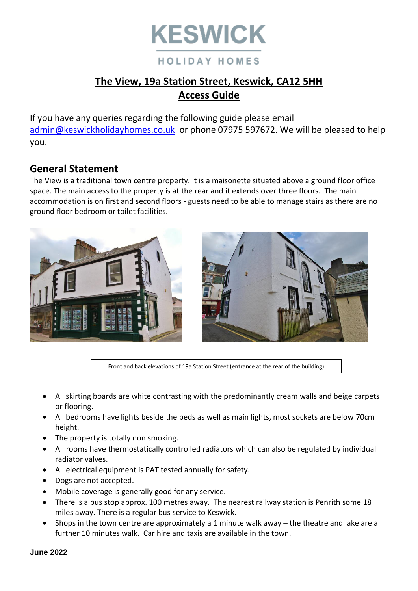

#### **HOLIDAY HOMES**

# **The View, 19a Station Street, Keswick, CA12 5HH Access Guide**

If you have any queries regarding the following guide please email [admin@keswickholidayhomes.co.uk](mailto:admin@keswickholidayhomes.co.uk) or phone 07975 597672. We will be pleased to help you.

### **General Statement**

The View is a traditional town centre property. It is a maisonette situated above a ground floor office space. The main access to the property is at the rear and it extends over three floors. The main accommodation is on first and second floors - guests need to be able to manage stairs as there are no ground floor bedroom or toilet facilities.



Front and back elevations of 19a Station Street (entrance at the rear of the building)

- All skirting boards are white contrasting with the predominantly cream walls and beige carpets or flooring.
- All bedrooms have lights beside the beds as well as main lights, most sockets are below 70cm height.
- The property is totally non smoking.
- All rooms have thermostatically controlled radiators which can also be regulated by individual radiator valves.
- All electrical equipment is PAT tested annually for safety.
- Dogs are not accepted.
- Mobile coverage is generally good for any service.
- There is a bus stop approx. 100 metres away. The nearest railway station is Penrith some 18 miles away. There is a regular bus service to Keswick.
- Shops in the town centre are approximately a 1 minute walk away the theatre and lake are a further 10 minutes walk. Car hire and taxis are available in the town.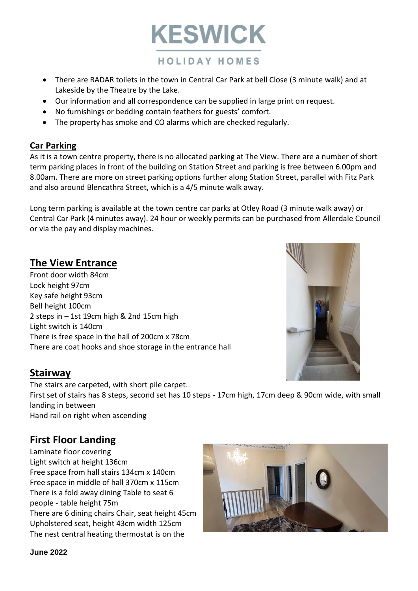

**KESWICK** 

- There are RADAR toilets in the town in Central Car Park at bell Close (3 minute walk) and at Lakeside by the Theatre by the Lake.
- Our information and all correspondence can be supplied in large print on request.
- No furnishings or bedding contain feathers for guests' comfort.
- The property has smoke and CO alarms which are checked regularly.

#### **Car Parking**

As it is a town centre property, there is no allocated parking at The View. There are a number of short term parking places in front of the building on Station Street and parking is free between 6.00pm and 8.00am. There are more on street parking options further along Station Street, parallel with Fitz Park and also around Blencathra Street, which is a 4/5 minute walk away.

Long term parking is available at the town centre car parks at Otley Road (3 minute walk away) or Central Car Park (4 minutes away). 24 hour or weekly permits can be purchased from Allerdale Council or via the pay and display machines.

#### **The View Entrance**

Front door width 84cm Lock height 97cm Key safe height 93cm Bell height 100cm 2 steps in – 1st 19cm high & 2nd 15cm high Light switch is 140cm There is free space in the hall of 200cm x 78cm There are coat hooks and shoe storage in the entrance hall

#### **Stairway**

The stairs are carpeted, with short pile carpet. First set of stairs has 8 steps, second set has 10 steps - 17cm high, 17cm deep & 90cm wide, with small landing in between Hand rail on right when ascending

# **First Floor Landing**

Laminate floor covering Light switch at height 136cm Free space from hall stairs 134cm x 140cm Free space in middle of hall 370cm x 115cm There is a fold away dining Table to seat 6 people - table height 75m There are 6 dining chairs Chair, seat height 45cm Upholstered seat, height 43cm width 125cm The nest central heating thermostat is on the



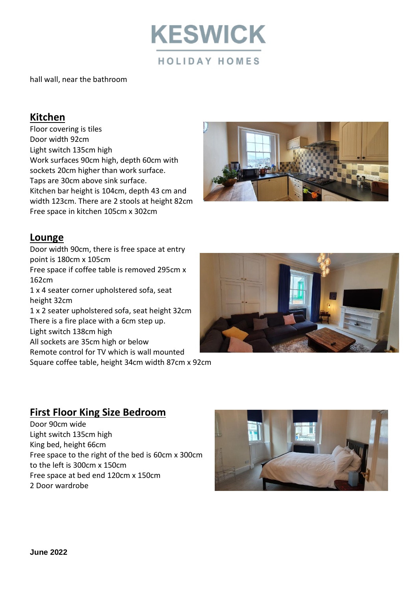

hall wall, near the bathroom

### **Kitchen**

Floor covering is tiles Door width 92cm Light switch 135cm high Work surfaces 90cm high, depth 60cm with sockets 20cm higher than work surface. Taps are 30cm above sink surface. Kitchen bar height is 104cm, depth 43 cm and width 123cm. There are 2 stools at height 82cm Free space in kitchen 105cm x 302cm



#### **Lounge**

Door width 90cm, there is free space at entry point is 180cm x 105cm

Free space if coffee table is removed 295cm x 162cm

1 x 4 seater corner upholstered sofa, seat height 32cm

1 x 2 seater upholstered sofa, seat height 32cm There is a fire place with a 6cm step up. Light switch 138cm high

All sockets are 35cm high or below

Remote control for TV which is wall mounted

Square coffee table, height 34cm width 87cm x 92cm

# **First Floor King Size Bedroom**

Door 90cm wide Light switch 135cm high King bed, height 66cm Free space to the right of the bed is 60cm x 300cm to the left is 300cm x 150cm Free space at bed end 120cm x 150cm 2 Door wardrobe



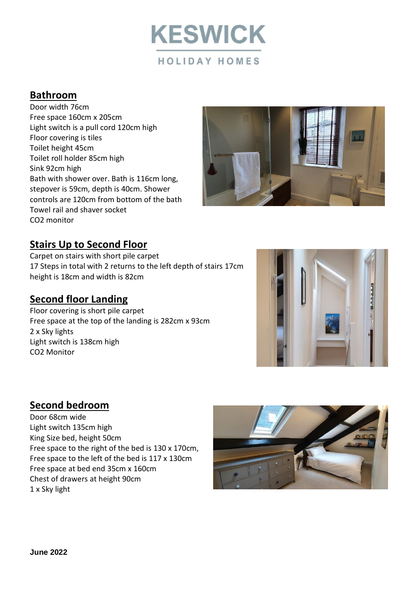

# **Bathroom**

Door width 76cm Free space 160cm x 205cm Light switch is a pull cord 120cm high Floor covering is tiles Toilet height 45cm Toilet roll holder 85cm high Sink 92cm high Bath with shower over. Bath is 116cm long, stepover is 59cm, depth is 40cm. Shower controls are 120cm from bottom of the bath Towel rail and shaver socket CO2 monitor



# **Stairs Up to Second Floor**

Carpet on stairs with short pile carpet 17 Steps in total with 2 returns to the left depth of stairs 17cm height is 18cm and width is 82cm

#### **Second floor Landing**

Floor covering is short pile carpet Free space at the top of the landing is 282cm x 93cm 2 x Sky lights Light switch is 138cm high CO2 Monitor



# **Second bedroom**

Door 68cm wide Light switch 135cm high King Size bed, height 50cm Free space to the right of the bed is 130 x 170cm, Free space to the left of the bed is 117 x 130cm Free space at bed end 35cm x 160cm Chest of drawers at height 90cm 1 x Sky light